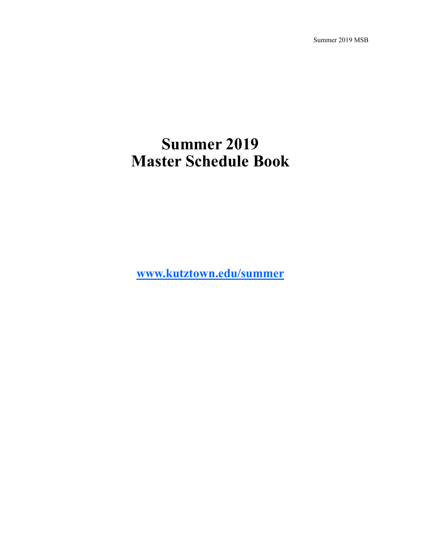Summer 2019 MSB

# **Summer 2019 Master Schedule Book**

**[www.kutztown.edu/summer](C:/Users/walton/Documents/Baby)**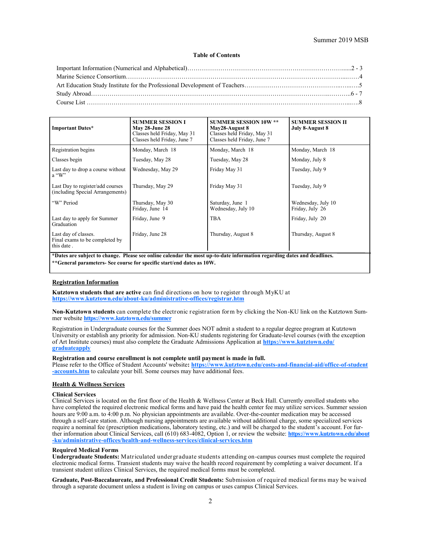#### Summer 2019 MSB

#### **Table of Contents**

<span id="page-1-0"></span>

| <b>Important Dates*</b>                                                                                                                                                                          | <b>SUMMER SESSION I</b><br><b>May 28-June 28</b><br>Classes held Friday, May 31<br>Classes held Friday, June 7 | <b>SUMMER SESSION 10W **</b><br>May28-August 8<br>Classes held Friday, May 31<br>Classes held Friday, June 7 | <b>SUMMER SESSION II</b><br>July 8-August 8 |  |  |  |  |  |  |
|--------------------------------------------------------------------------------------------------------------------------------------------------------------------------------------------------|----------------------------------------------------------------------------------------------------------------|--------------------------------------------------------------------------------------------------------------|---------------------------------------------|--|--|--|--|--|--|
| Registration begins                                                                                                                                                                              | Monday, March 18                                                                                               | Monday, March 18                                                                                             | Monday, March 18                            |  |  |  |  |  |  |
| Classes begin                                                                                                                                                                                    | Tuesday, May 28                                                                                                | Tuesday, May 28                                                                                              | Monday, July 8                              |  |  |  |  |  |  |
| Last day to drop a course without<br>$a \cdot W$                                                                                                                                                 | Wednesday, May 29                                                                                              | Friday May 31                                                                                                | Tuesday, July 9                             |  |  |  |  |  |  |
| Last Day to register/add courses<br>(including Special Arrangements)                                                                                                                             | Thursday, May 29                                                                                               | Friday May 31                                                                                                | Tuesday, July 9                             |  |  |  |  |  |  |
| "W" Period                                                                                                                                                                                       | Thursday, May 30<br>Friday, June 14                                                                            | Saturday, June 1<br>Wednesday, July 10                                                                       | Wednesday, July 10<br>Friday, July 26       |  |  |  |  |  |  |
| Last day to apply for Summer<br>Graduation                                                                                                                                                       | Friday, June 9                                                                                                 | <b>TBA</b>                                                                                                   | Friday, July 20                             |  |  |  |  |  |  |
| Last day of classes.<br>Final exams to be completed by<br>this date.                                                                                                                             | Friday, June 28                                                                                                | Thursday, August 8                                                                                           | Thursday, August 8                          |  |  |  |  |  |  |
| *Dates are subject to change. Please see online calendar the most up-to-date information regarding dates and deadlines.<br>**General parameters- See course for specific start/end dates as 10W. |                                                                                                                |                                                                                                              |                                             |  |  |  |  |  |  |

#### **Registration Information**

**Kutztown students that are active** can find directions on how to register through MyKU at **[https://www.kutztown.edu/about](#page-1-0)-ku/administrative-offices/registrar.htm**

**[N](https://www.kutztown.edu/about-ku/administrative-offices/information-technology/myku-information/students.htm)on-Kutztown students** can complete the electronic registration for m by clicking the Non-KU link on the Kutztown Summer website **[https://www.kutztown.edu/summer](#page-1-0)**

Registration in Undergraduate courses for the Summer does NOT admit a student to a regular degree program at Kutztown University or establish any priority for admission. Non-KU students registering for Graduate-level courses (with the exception of Art Institute courses) must also complete the Graduate Admissions Application at **[https://www.kutztown.edu/](#page-1-0) [graduateapply](#page-1-0)**

#### **Registration and course enrollment is not complete until payment is made in full.**

Please refer to the Office of Student Accounts' website**: [https://www.kutztown.edu/costs](#page-1-0)-and-financial-aid/office-of-student -[accounts.htm](#page-1-0)** to calculate your bill. Some courses may have additional fees.

#### **Health & Wellness Services**

#### **Clinical Services**

Clinical Services is located on the first floor of the Health & Wellness Center at Beck Hall. Currently enrolled students who have completed the required electronic medical forms and have paid the health center fee may utilize services. Summer session hours are 9:00 a.m. to 4:00 p.m. No physician appointments are available. Over-the-counter medication may be accessed through a self-care station. Although nursing appointments are available without additional charge, some specialized services require a nominal fee (prescription medications, laboratory testing, etc.) and will be charged to the student's account. For further information about Clinical Services, call (610) 683-4082, Option 1, or review the website: **[https://www.kutztown.edu/about](https://www.kutztown.edu/about-ku/administrative-offices/health-and-wellness-services/clinical-services.htm) -[ku/administrative](https://www.kutztown.edu/about-ku/administrative-offices/health-and-wellness-services/clinical-services.htm)-offices/health-and-wellness-services/clinical-services.htm**

#### **Required Medical Forms**

**Undergraduate Students:** Matriculated undergraduate students attending on-campus courses must complete the required electronic medical forms. Transient students may waive the health record requirement by completing a waiver document. If a transient student utilizes Clinical Services, the required medical forms must be completed.

**Graduate, Post-Baccalaureate, and Professional Credit Students:** Submission of required medical for ms may be waived through a separate document unless a student is living on campus or uses campus Clinical Services.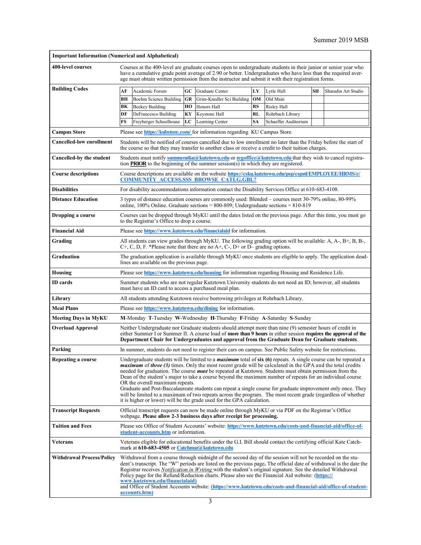<span id="page-2-0"></span>

| <b>Important Information (Numerical and Alphabetical)</b> |                                                                                                                                                                                                                                                                                                                                                                                                                                                                                                                                                                                                                                                                                                                                                                                                                                  |                        |    |                                                                                                               |           |                      |    |                     |  |
|-----------------------------------------------------------|----------------------------------------------------------------------------------------------------------------------------------------------------------------------------------------------------------------------------------------------------------------------------------------------------------------------------------------------------------------------------------------------------------------------------------------------------------------------------------------------------------------------------------------------------------------------------------------------------------------------------------------------------------------------------------------------------------------------------------------------------------------------------------------------------------------------------------|------------------------|----|---------------------------------------------------------------------------------------------------------------|-----------|----------------------|----|---------------------|--|
| 400-level courses                                         | Courses at the 400-level are graduate courses open to undergraduate students in their junior or senior year who<br>have a cumulative grade point average of 2.90 or better. Undergraduates who have less than the required aver-<br>age must obtain written permission from the instructor and submit it with their registration forms.                                                                                                                                                                                                                                                                                                                                                                                                                                                                                          |                        |    |                                                                                                               |           |                      |    |                     |  |
| <b>Building Codes</b>                                     | АF                                                                                                                                                                                                                                                                                                                                                                                                                                                                                                                                                                                                                                                                                                                                                                                                                               | Academic Forum         | GC | Graduate Center                                                                                               | LY        | Lytle Hall           | SН | Sharadin Art Studio |  |
|                                                           | BН                                                                                                                                                                                                                                                                                                                                                                                                                                                                                                                                                                                                                                                                                                                                                                                                                               | Boehm Science Building | GR | Grim-Knedler Sci Building                                                                                     | OM        | Old Main             |    |                     |  |
|                                                           | BK                                                                                                                                                                                                                                                                                                                                                                                                                                                                                                                                                                                                                                                                                                                                                                                                                               | <b>Beekey Building</b> | ΗО | Honors Hall                                                                                                   | RS        | Risley Hall          |    |                     |  |
|                                                           | DF                                                                                                                                                                                                                                                                                                                                                                                                                                                                                                                                                                                                                                                                                                                                                                                                                               | DeFrancesco Building   | ΚY | Keystone Hall                                                                                                 | <b>RL</b> | Rohrbach Library     |    |                     |  |
|                                                           | FS                                                                                                                                                                                                                                                                                                                                                                                                                                                                                                                                                                                                                                                                                                                                                                                                                               | Freyberger Schoolhouse | LC | Learning Center                                                                                               | SA        | Schaeffer Auditorium |    |                     |  |
| <b>Campus Store</b>                                       | Please see https://kubstore.com/ for information regarding KU Campus Store.                                                                                                                                                                                                                                                                                                                                                                                                                                                                                                                                                                                                                                                                                                                                                      |                        |    |                                                                                                               |           |                      |    |                     |  |
| <b>Cancelled-low enrollment</b>                           | Students will be notified of courses cancelled due to low enrollment no later than the Friday before the start of<br>the course so that they may transfer to another class or receive a credit to their tuition charges.                                                                                                                                                                                                                                                                                                                                                                                                                                                                                                                                                                                                         |                        |    |                                                                                                               |           |                      |    |                     |  |
| Cancelled-by the student                                  | Students must notify summeratku@kutztown.edu or regoffice@kutztown.edu that they wish to cancel registra-<br>tion <b>PRIOR</b> to the beginning of the summer session(s) in which they are registered.                                                                                                                                                                                                                                                                                                                                                                                                                                                                                                                                                                                                                           |                        |    |                                                                                                               |           |                      |    |                     |  |
| <b>Course descriptions</b>                                | Course descriptions are available on the website https://csku.kutztown.edu/psp/csprd/EMPLOYEE/HRMS/c/<br><b>COMMUNITY ACCESS.SSS BROWSE CATLG.GBL?</b>                                                                                                                                                                                                                                                                                                                                                                                                                                                                                                                                                                                                                                                                           |                        |    |                                                                                                               |           |                      |    |                     |  |
| <b>Disabilities</b>                                       | For disability accommodations information contact the Disability Services Office at 610-683-4108.                                                                                                                                                                                                                                                                                                                                                                                                                                                                                                                                                                                                                                                                                                                                |                        |    |                                                                                                               |           |                      |    |                     |  |
| <b>Distance Education</b>                                 | 3 types of distance education courses are commonly used: Blended – courses meet 30-79% online, 80-99%<br>online, $100\%$ Online. Graduate sections = 800-809; Undergraduate sections = 810-819                                                                                                                                                                                                                                                                                                                                                                                                                                                                                                                                                                                                                                   |                        |    |                                                                                                               |           |                      |    |                     |  |
| Dropping a course                                         | Courses can be dropped through MyKU until the dates listed on the previous page. After this time, you must go<br>to the Registrar's Office to drop a course.                                                                                                                                                                                                                                                                                                                                                                                                                                                                                                                                                                                                                                                                     |                        |    |                                                                                                               |           |                      |    |                     |  |
| <b>Financial Aid</b>                                      |                                                                                                                                                                                                                                                                                                                                                                                                                                                                                                                                                                                                                                                                                                                                                                                                                                  |                        |    | Please see https://www.kutztown.edu/financialaid for information.                                             |           |                      |    |                     |  |
| Grading                                                   | All students can view grades through MyKU. The following grading option will be available: A, A-, B+, B, B-,<br>$C^+$ , C, D, F. *Please note that there are no A+, C-, D+ or D– grading options.                                                                                                                                                                                                                                                                                                                                                                                                                                                                                                                                                                                                                                |                        |    |                                                                                                               |           |                      |    |                     |  |
| Graduation                                                | The graduation application is available through MyKU once students are eligible to apply. The application dead-<br>lines are available on the previous page.                                                                                                                                                                                                                                                                                                                                                                                                                                                                                                                                                                                                                                                                     |                        |    |                                                                                                               |           |                      |    |                     |  |
| Housing                                                   |                                                                                                                                                                                                                                                                                                                                                                                                                                                                                                                                                                                                                                                                                                                                                                                                                                  |                        |    | Please see https://www.kutztown.edu/housing for information regarding Housing and Residence Life.             |           |                      |    |                     |  |
| <b>ID</b> cards                                           | Summer students who are not regular Kutztown University students do not need an ID; however, all students<br>must have an ID card to access a purchased meal plan.                                                                                                                                                                                                                                                                                                                                                                                                                                                                                                                                                                                                                                                               |                        |    |                                                                                                               |           |                      |    |                     |  |
| Library                                                   |                                                                                                                                                                                                                                                                                                                                                                                                                                                                                                                                                                                                                                                                                                                                                                                                                                  |                        |    | All students attending Kutztown receive borrowing privileges at Rohrbach Library.                             |           |                      |    |                     |  |
| <b>Meal Plans</b>                                         | Please see https://www.kutztown.edu/dining for information.                                                                                                                                                                                                                                                                                                                                                                                                                                                                                                                                                                                                                                                                                                                                                                      |                        |    |                                                                                                               |           |                      |    |                     |  |
| <b>Meeting Days in MyKU</b>                               | M-Monday T-Tuesday W-Wednesday H-Thursday F-Friday A-Saturday S-Sunday                                                                                                                                                                                                                                                                                                                                                                                                                                                                                                                                                                                                                                                                                                                                                           |                        |    |                                                                                                               |           |                      |    |                     |  |
| <b>Overload Approval</b>                                  | Neither Undergraduate nor Graduate students should attempt more than nine (9) semester hours of credit in<br>either Summer I or Summer II. A course load of more than 9 hours in either session requires the approval of the<br>Department Chair for Undergraduates and approval from the Graduate Dean for Graduate students.                                                                                                                                                                                                                                                                                                                                                                                                                                                                                                   |                        |    |                                                                                                               |           |                      |    |                     |  |
| Parking                                                   |                                                                                                                                                                                                                                                                                                                                                                                                                                                                                                                                                                                                                                                                                                                                                                                                                                  |                        |    | In summer, students do not need to register their cars on campus. See Public Safety website for restrictions. |           |                      |    |                     |  |
| Repeating a course                                        | Undergraduate students will be limited to a <i>maximum</i> total of six (6) repeats. A single course can be repeated a<br><i>maximum</i> of <i>three</i> (3) times. Only the most recent grade will be calculated in the GPA and the total credits<br>needed for graduation. The course <b>must</b> be repeated at Kutztown. Students must obtain permission from the<br>Dean of the student's major to take a course beyond the maximum number of repeats for an individual course<br>OR the overall maximum repeats.<br>Graduate and Post-Baccalaureate students can repeat a single course for graduate improvement only once. They<br>will be limited to a maximum of two repeats across the program. The most recent grade (regardless of whether<br>it is higher or lower) will be the grade used for the GPA calculation. |                        |    |                                                                                                               |           |                      |    |                     |  |
| <b>Transcript Requests</b>                                | Official transcript requests can now be made online through MyKU or via PDF on the Registrar's Office<br>webpage. Please allow 2-3 business days after receipt for processing.                                                                                                                                                                                                                                                                                                                                                                                                                                                                                                                                                                                                                                                   |                        |    |                                                                                                               |           |                      |    |                     |  |
| <b>Tuition and Fees</b>                                   | Please see Office of Student Accounts' website: https://www.kutztown.edu/costs-and-financial-aid/office-of-<br>student-accounts.htm or information.                                                                                                                                                                                                                                                                                                                                                                                                                                                                                                                                                                                                                                                                              |                        |    |                                                                                                               |           |                      |    |                     |  |
| <b>Veterans</b>                                           | Veterans eligible for educational benefits under the G.I. Bill should contact the certifying official Kate Catch-<br>mark at 610-683-4505 or Catchmar@kutztown.edu                                                                                                                                                                                                                                                                                                                                                                                                                                                                                                                                                                                                                                                               |                        |    |                                                                                                               |           |                      |    |                     |  |
| <b>Withdrawal Process/Policy</b>                          | Withdrawal from a course through midnight of the second day of the session will not be recorded on the stu-<br>dent's transcript. The "W" periods are listed on the previous page. The official date of withdrawal is the date the<br>Registrar receives <i>Notification in Writing</i> with the student's original signature. See the detailed Withdrawal<br>Policy page for the Refund/Reduction charts. Please also see the Financial Aid website: (https://<br>www.kutztown.edu/financialaid)<br>and Office of Student Accounts website: (https://www.kutztown.edu/costs-and-financial-aid/office-of-student-<br><u>accounts.htm)</u>                                                                                                                                                                                        |                        |    |                                                                                                               |           |                      |    |                     |  |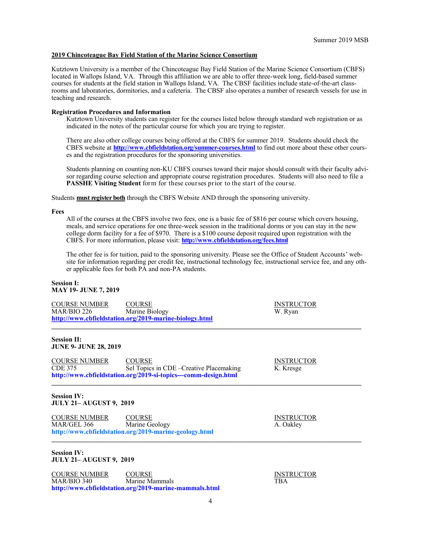#### **2019 Chincoteague Bay Field Station of the Marine Science Consortium**

Kutztown University is a member of the Chincoteague Bay Field Station of the Marine Science Consortium (CBFS) located in Wallops Island, VA. Through this affiliation we are able to offer three-week long, field-based summer courses for students at the field station in Wallops Island, VA. The CBSF facilities include state-of-the-art classrooms and laboratories, dormitories, and a cafeteria. The CBSF also operates a number of research vessels for use in teaching and research.

#### **Registration Procedures and Information**

Kutztown University students can register for the courses listed below through standard web registration or as indicated in the notes of the particular course for which you are trying to register.

There are also other college courses being offered at the CBFS for summer 2019. Students should check the CBFS website at **[http://www.cbfieldstation.org/summer](http://www.cbfieldstation.org/summer-courses.html)-courses.html** to find out more about these other courses and the registration procedures for the sponsoring universities.

Students planning on counting non-KU CBFS courses toward their major should consult with their faculty advisor regarding course selection and appropriate course registration procedures. Students will also need to file a **PASSHE Visiting Student** form for these courses prior to the start of the course.

Students **must register both** through the CBFS Website AND through the sponsoring university.

**Fees**

All of the courses at the CBFS involve two fees, one is a basic fee of \$816 per course which covers housing, meals, and service operations for one three-week session in the traditional dorms or you can stay in the new college dorm facility for a fee of \$970. There is a \$100 course deposit required upon registration with the CBFS. For more information, please visit: **<http://www.cbfieldstation.org/fees.html>**

The other fee is for tuition, paid to the sponsoring university. Please see the Office of Student Accounts' website for information regarding per credit fee, instructional technology fee, instructional service fee, and any other applicable fees for both PA and non-PA students.

#### **Session I: MAY 19- JUNE 7, 2019**

COURSE NUMBER COURSE COURSE INSTRUCTOR MAR/BIO 226 Marine Biology W. Ryan **[http://www.cbfieldstation.org/2019](http://www.cbfieldstation.org/2018-marine-biology.html)-marine-biology.html \_\_\_\_\_\_\_\_\_\_\_\_\_\_\_\_\_\_\_\_\_\_\_\_\_\_\_\_\_\_\_\_\_\_\_\_\_\_\_\_\_\_\_\_\_\_\_\_\_\_\_\_\_\_\_\_\_\_\_\_\_\_\_\_\_\_\_\_\_\_\_\_\_\_\_\_\_\_\_\_\_\_\_\_\_\_\_\_\_\_\_\_**

#### **Session II: JUNE 9- JUNE 28, 2019**

COURSE NUMBER COURSE INSTRUCTOR CDE 375 Sel Topics in CDE –Creative Placemaking K. Kresge **http://www.cbfieldstation.org/2019-si-topics---comm-design.html**

**Session IV: JULY 21– AUGUST 9, 2019**

COURSE NUMBER COURSE COURSE INSTRUCTOR MAR/GEL 366 Marine Geology A. Oakley **http://www.cbfieldstation.org/2019-marine-geology.html**  $\mathcal{L}_\mathcal{L} = \mathcal{L}_\mathcal{L}$  , where  $\mathcal{L}_\mathcal{L} = \mathcal{L}_\mathcal{L}$  ,  $\mathcal{L}_\mathcal{L} = \mathcal{L}_\mathcal{L}$  ,  $\mathcal{L}_\mathcal{L} = \mathcal{L}_\mathcal{L}$  ,  $\mathcal{L}_\mathcal{L} = \mathcal{L}_\mathcal{L}$ 

#### **Session IV: JULY 21– AUGUST 9, 2019**

COURSE NUMBER COURSE COURSE INSTRUCTOR MAR/BIO 340 Marine Mammals TBA **http://www.cbfieldstation.org/2019-marine-mammals.html**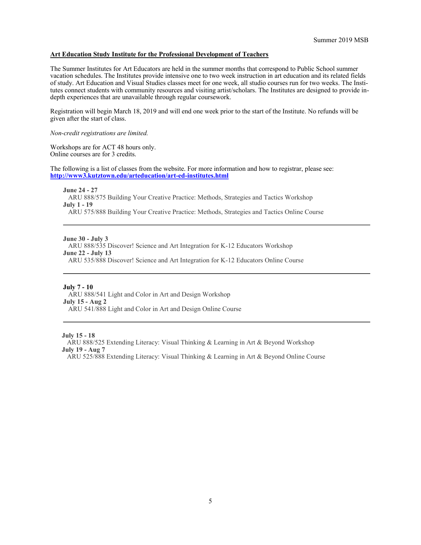#### **Art Education Study Institute for the Professional Development of Teachers**

The Summer Institutes for Art Educators are held in the summer months that correspond to Public School summer vacation schedules. The Institutes provide intensive one to two week instruction in art education and its related fields of study. Art Education and Visual Studies classes meet for one week, all studio courses run for two weeks. The Institutes connect students with community resources and visiting artist/scholars. The Institutes are designed to provide indepth experiences that are unavailable through regular coursework.

Registration will begin March 18, 2019 and will end one week prior to the start of the Institute. No refunds will be given after the start of class.

#### *Non-credit registrations are limited.*

Workshops are for ACT 48 hours only. Online courses are for 3 credits.

The following is a list of classes from the website. For more information and how to registrar, please see: **[http://www3.kutztown.edu/arteducation/art](http://www3.kutztown.edu/arteducation/art-ed-institutes.html)-ed-institutes.html**

**June 24 - 27** ARU 888/575 Building Your Creative Practice: Methods, Strategies and Tactics Workshop **July 1 - 19** ARU 575/888 Building Your Creative Practice: Methods, Strategies and Tactics Online Course

**June 30 - July 3**

ARU 888/535 Discover! Science and Art Integration for K-12 Educators Workshop

**June 22 - July 13**

ARU 535/888 Discover! Science and Art Integration for K-12 Educators Online Course

#### **July 7 - 10**

ARU 888/541 Light and Color in Art and Design Workshop **July 15 - Aug 2** ARU 541/888 Light and Color in Art and Design Online Course

 **July 15 - 18**

 ARU 888/525 Extending Literacy: Visual Thinking & Learning in Art & Beyond Workshop **July 19 - Aug 7**

ARU 525/888 Extending Literacy: Visual Thinking & Learning in Art & Beyond Online Course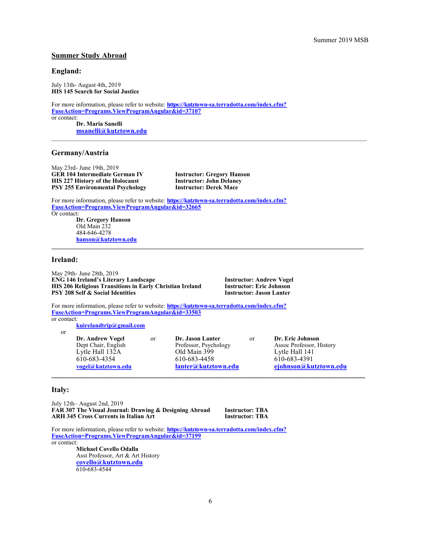# **Summer Study Abroad**

#### **England:**

July 13th- August 4th, 2019 **HIS 145 Search for Social Justice**

For more information, please refer to website: **https://kutztown-[sa.terradotta.com/index.cfm?](https://kutztown-sa.terradotta.com/index.cfm?FuseAction=Programs.ViewProgramAngular&id=37107) [FuseAction=Programs.ViewProgramAngular&id=37107](https://kutztown-sa.terradotta.com/index.cfm?FuseAction=Programs.ViewProgramAngular&id=37107)** or contact:

**Dr. Maria Sanelli [msanelli@kutztown.edu](mailto:msanelli@kutztown.edu)**

### **Germany/Austria**

May 23rd- June 19th, 2019 **GER 104 Intermediate German IV Instructor: Gregory Hanson HIS 227 History of the Holocaust Instructor: John Delane**<br> **PSY 255 Environmental Psychology Instructor: Derek Mace PSY 255 Environmental Psychology** 

For more information, please refer to website: **https://kutztown-[sa.terradotta.com/index.cfm?](https://kutztown-sa.terradotta.com/index.cfm?FuseAction=Programs.ViewProgramAngular&id=32665) [FuseAction=Programs.ViewProgramAngular&id=32665](https://kutztown-sa.terradotta.com/index.cfm?FuseAction=Programs.ViewProgramAngular&id=32665)**

Or contact: **Dr. Gregory Hanson** Old Main 232 484-646-4278 **[hanson@kutztown.edu](mailto:hanson@kutztown.edu)**

#### **Ireland:**

May 29th- June 28th, 2019 **ENG 146 Ireland's Literary Landscape Instructor: Andrew Vogel HIS 206 Religious Transitions in Early Christian Ireland Instructor: Eric Johnson PSY 208 Self & Social Identities** 

For more information, please refer to website: **https://kutztown-[sa.terradotta.com/index.cfm?](https://kutztown-sa.terradotta.com/index.cfm?FuseAction=Programs.ViewProgramAngular&id=33503) [FuseAction=Programs.ViewProgramAngular&id=33503](https://kutztown-sa.terradotta.com/index.cfm?FuseAction=Programs.ViewProgramAngular&id=33503)** or contact:

**[kuirelandtrip@gmail.com](mailto:kuirelandtrip@gmail.com)**

or

**Dr. Andrew Vogel** or **Dr. Jason Lanter** or **Dr. Eric Johnson** Lytle Hall 132A Old Main 399 Lytle Hall 141 610-683-4354 610-683-4458 610-683-4391

Assoc Professor, History **[vogel@kutztown.edu](mailto:vogel@kutztown.edu) [lanter@kutztown.edu](mailto:lanter@kutztown.edu?subject=Study%20Abroad%20Program) [ejohnson@kutztown.edu](mailto:ejohnson@kutztown.edu?subject=Study%20Abroad%20Program) \_\_\_\_\_\_\_\_\_\_\_\_\_\_\_\_\_\_\_\_\_\_\_\_\_\_\_\_\_\_\_\_\_\_\_\_\_\_\_\_\_\_\_\_\_\_\_\_\_\_\_\_\_\_\_\_\_\_\_\_\_\_\_\_\_\_\_\_\_\_\_\_\_\_\_\_\_\_\_\_\_\_\_**

#### **Italy:**

July 12th– August 2nd, 2019 **FAR 307 The Visual Journal: Drawing & Designing Abroad Instructor: TBA ARH 345 Cross Currents in Italian Art** 

For more information, please refer to website: **https://kutztown-[sa.terradotta.com/index.cfm?](https://kutztown-sa.terradotta.com/index.cfm?FuseAction=Programs.ViewProgramAngular&id=37199) [FuseAction=Programs.ViewProgramAngular&id=37199](https://kutztown-sa.terradotta.com/index.cfm?FuseAction=Programs.ViewProgramAngular&id=37199)** or contact:

> **Michael Covello Odalla** Asst Professor, Art & Art History **[covello@kutztown.edu](mailto:covello@kutztown.edu?subject=Study%20Abroad)** 610-683-4544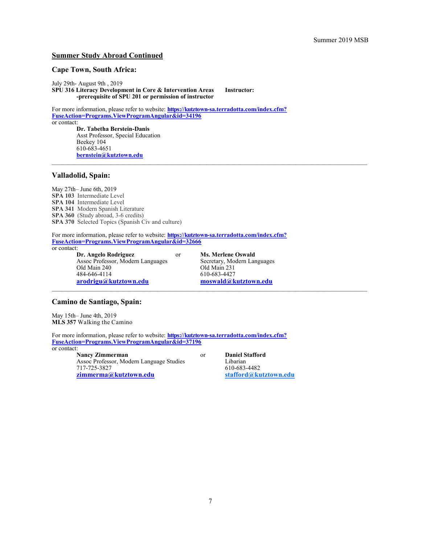## **Summer Study Abroad Continued**

## **Cape Town, South Africa:**

July 29th- August 9th , 2019 **SPU 316 Literacy Development in Core & Intervention Areas Instructor:**

**-prerequisite of SPU 201 or permission of instructor**

For more information, please refer to website: **https://kutztown-[sa.terradotta.com/index.cfm?](https://kutztown-sa.terradotta.com/index.cfm?FuseAction=Programs.ViewProgramAngular&id=34196) [FuseAction=Programs.ViewProgramAngular&id=34196](https://kutztown-sa.terradotta.com/index.cfm?FuseAction=Programs.ViewProgramAngular&id=34196)** or contact:

**Dr. Tabetha Berstein-Danis** Asst Professor, Special Education Beekey 104 610-683-4651 **[bernstein@kutztown.edu](mailto:bernstein@kutztown.edu)**

#### **Valladolid, Spain:**

May 27th– June 6th, 2019 **SPA 103** Intermediate Level **SPA 104** Intermediate Level **SPA 341** Modern Spanish Literature **SPA 360** (Study abroad, 3-6 credits) **SPA 370** Selected Topics (Spanish Civ and culture)

For more information, please refer to website: **https://kutztown-[sa.terradotta.com/index.cfm?](https://kutztown-sa.terradotta.com/index.cfm?FuseAction=Programs.ViewProgramAngular&id=32666) [FuseAction=Programs.ViewProgramAngular&id=32666](https://kutztown-sa.terradotta.com/index.cfm?FuseAction=Programs.ViewProgramAngular&id=32666)** or contact:

**Dr. Angelo Rodriguez** or **Ms. Merlene Oswald** Assoc Professor, Modern Languages<br>
Old Main 240<br>
Old Main 231 Old Main 240<br>484-646-4114<br>610-683-4427 **[arodrigu@kutztown.edu](mailto:arodrigu@kutztown.edu) [moswald@kutztown.edu](mailto:moswald@kutztown.edu)**

610-683-4427

 $\mathcal{L}_\mathcal{L} = \mathcal{L}_\mathcal{L} = \mathcal{L}_\mathcal{L} = \mathcal{L}_\mathcal{L} = \mathcal{L}_\mathcal{L} = \mathcal{L}_\mathcal{L} = \mathcal{L}_\mathcal{L} = \mathcal{L}_\mathcal{L} = \mathcal{L}_\mathcal{L} = \mathcal{L}_\mathcal{L} = \mathcal{L}_\mathcal{L} = \mathcal{L}_\mathcal{L} = \mathcal{L}_\mathcal{L} = \mathcal{L}_\mathcal{L} = \mathcal{L}_\mathcal{L} = \mathcal{L}_\mathcal{L} = \mathcal{L}_\mathcal{L}$ 

## **Camino de Santiago, Spain:**

May 15th– June 4th, 2019 **MLS 357** Walking the Camino

For more information, please refer to website: **https://kutztown-[sa.terradotta.com/index.cfm?](https://kutztown-sa.terradotta.com/index.cfm?FuseAction=Programs.ViewProgramAngular&id=37196) [FuseAction=Programs.ViewProgramAngular&id=37196](https://kutztown-sa.terradotta.com/index.cfm?FuseAction=Programs.ViewProgramAngular&id=37196)** or contact:

**Nancy Zimmerman** or **Daniel Stafford**<br>Assoc Professor. Modern Language Studies Libarian Assoc Professor, Modern Language Studies 717-725-3827 610-683-4482 **[zimmerma@kutztown.edu](mailto:zimmerma@kutztown.edu?subject=Study%20Abroad) [stafford@kutztown.edu](mailto:stafford@kutztown.edu?subject=Study%20Abroad)**